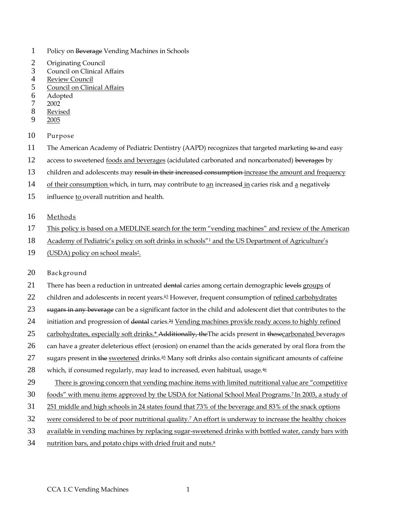- 1 Policy on Beverage Vending Machines in Schools
- 2 Originating Council<br>3 Council on Clinical
- Council on Clinical Affairs
- 4 Review Council<br>5 Council on Clini
- 5 Council on Clinical Affairs
- 6 Adopted<br>7 2002
- 7 2002
- **Revised**
- 9 2005
- 10 Purpose
- 11 The American Academy of Pediatric Dentistry (AAPD) recognizes that targeted marketing to and easy
- 12 access to sweetened foods and beverages (acidulated carbonated and noncarbonated) beverages by
- 13 children and adolescents may result in their increased consumption increase the amount and frequency
- 14 of their consumption which, in turn, may contribute to an increased in caries risk and a negatively
- 15 influence to overall nutrition and health.
- 16 Methods
- 17 This policy is based on a MEDLINE search for the term "vending machines" and review of the American
- 18 Academy of Pediatric's policy on soft drinks in schools<sup>"1</sup> and the US Department of Agriculture's
- 19 (USDA) policy on school meals<sup>2</sup>.
- 20 Background
- 21 There has been a reduction in untreated dental caries among certain demographic levels groups of
- 22 children and adolescents in recent years.<sup>42</sup> However, frequent consumption of refined carbohydrates
- 23 sugars in any beverage can be a significant factor in the child and adolescent diet that contributes to the
- 24 initiation and progression of <del>dental</del> caries.<sup>24</sup> Vending machines provide ready access to highly refined
- 25 carbohydrates, especially soft drinks.\* Additionally, the The acids present in thesecarbonated beverages
- 26 can have a greater deleterious effect (erosion) on enamel than the acids generated by oral flora from the
- 27 sugars present in the sweetened drinks.<sup>35</sup> Many soft drinks also contain significant amounts of caffeine
- 28 which, if consumed regularly, may lead to increased, even habitual, usage. $46$
- 29 There is growing concern that vending machine items with limited nutritional value are "competitive"
- 30 foods" with menu items approved by the USDA for National School Meal Programs.<sup>7</sup> In 2003, a study of
- 31 251 middle and high schools in 24 states found that 73% of the beverage and 83% of the snack options
- 32 were considered to be of poor nutritional quality.<sup>7</sup> An effort is underway to increase the healthy choices
- 33 available in vending machines by replacing sugar-sweetened drinks with bottled water, candy bars with
- 34 nutrition bars, and potato chips with dried fruit and nuts. $8$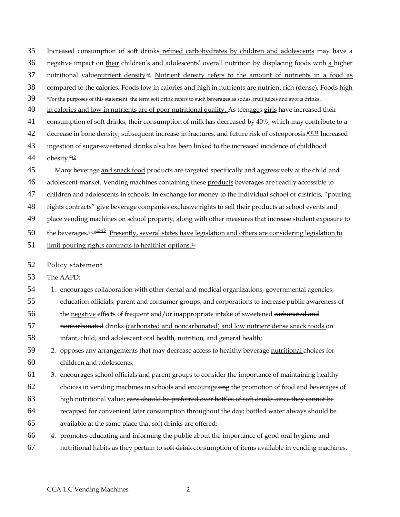36 negative impact on their children's and adolescents' overall nutrition by displacing foods with a higher 37 **nutritional valuenutrient density**<sup>59</sup>. Nutrient density refers to the amount of nutrients in a food as 38 compared to the calories. Foods low in calories and high in nutrients are nutrient rich (dense). Foods high 39 \*For the purposes of this statement, the term soft drink refers to such beverages as sodas, fruit juices and sports drinks. 40 in calories and low in nutrients are of poor nutritional quality. As teenages girls have increased their 41 consumption of soft drinks, their consumption of milk has decreased by 40%, which may contribute to a 42 decrease in bone density, subsequent increase in fractures, and future risk of osteoporosis.<sup>610,11</sup> Increased 43 ingestion of sugar-sweetened drinks also has been linked to the increased incidence of childhood 44 obesity. $712$ 45 Many beverage and snack food products are targeted specifically and aggressively at the child and 46 adolescent market. Vending machines containing these products beverages are readily accessible to 47 children and adolescents in schools. In exchange for money to the individual school or districts, "pouring 48 rights contracts" give beverage companies exclusive rights to sell their products at school events and 49 place vending machines on school property, along with other measures that increase student exposure to 50 the beverages. $8-10^{13-15}$  Presently, several states have legislation and others are considering legislation to 51 limit pouring rights contracts to healthier options.<sup>15</sup>

35 Increased consumption of soft drinks refined carbohydrates by children and adolescents may have a

52 Policy statement

53 The AAPD:

54 1. encourages collaboration with other dental and medical organizations, governmental agencies,

55 education officials, parent and consumer groups, and corporations to increase public awareness of

56 the negative effects of frequent and/or inappropriate intake of sweetened carbonated and

57 noncarbonated drinks (carbonated and noncarbonated) and low nutrient dense snack foods on

58 infant, child, and adolescent oral health, nutrition, and general health;

59 2. opposes any arrangements that may decrease access to healthy beverage nutritional choices for 60 children and adolescents;

61 3. encourages school officials and parent groups to consider the importance of maintaining healthy

62 choices in vending machines in schools and encouragesing the promotion of food and beverages of

63 high nutritional value; cans should be preferred over bottles of soft drinks since they cannot be

- 64 recapped for convenient later consumption throughout the day; bottled water always should be
- 65 available at the same place that soft drinks are offered;
- 66 4. promotes educating and informing the public about the importance of good oral hygiene and 67 nutritional habits as they pertain to soft drink consumption of items available in vending machines.